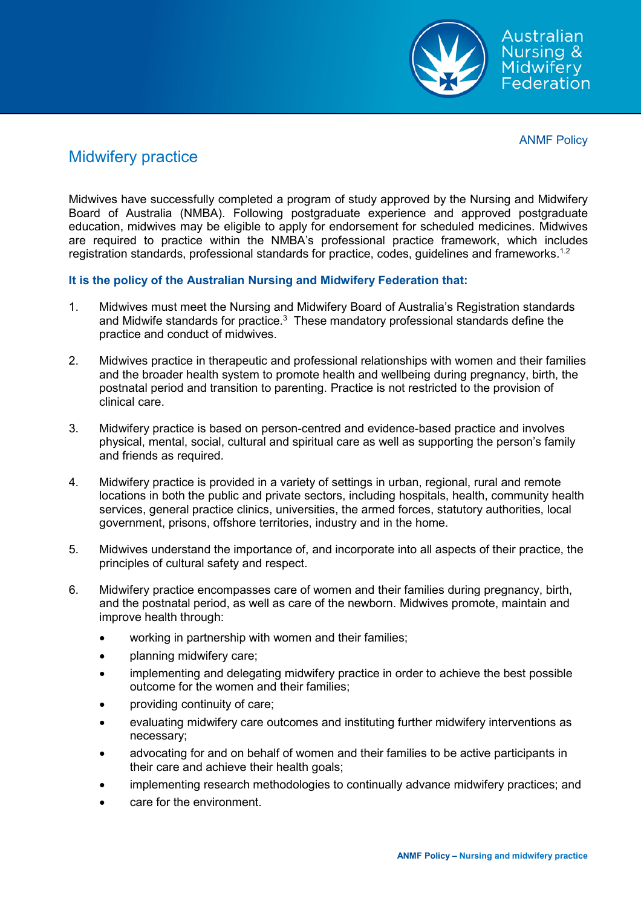

ANMF Policy

## Midwifery practice

Midwives have successfully completed a program of study approved by the Nursing and Midwifery Board of Australia (NMBA). Following postgraduate experience and approved postgraduate education, midwives may be eligible to apply for endorsement for scheduled medicines. Midwives are required to practice within the NMBA's professional practice framework, which includes registration standards, professional standards for practice, codes, guidelines and frameworks. $^\mathrm{1.2}$ 

## **It is the policy of the Australian Nursing and Midwifery Federation that:**

- 1. Midwives must meet the Nursing and Midwifery Board of Australia's Registration standards and Midwife standards for practice. $^3\,$  These mandatory professional standards define the practice and conduct of midwives.
- 2. Midwives practice in therapeutic and professional relationships with women and their families and the broader health system to promote health and wellbeing during pregnancy, birth, the postnatal period and transition to parenting. Practice is not restricted to the provision of clinical care.
- 3. Midwifery practice is based on person-centred and evidence-based practice and involves physical, mental, social, cultural and spiritual care as well as supporting the person's family and friends as required.
- 4. Midwifery practice is provided in a variety of settings in urban, regional, rural and remote locations in both the public and private sectors, including hospitals, health, community health services, general practice clinics, universities, the armed forces, statutory authorities, local government, prisons, offshore territories, industry and in the home.
- 5. Midwives understand the importance of, and incorporate into all aspects of their practice, the principles of cultural safety and respect.
- 6. Midwifery practice encompasses care of women and their families during pregnancy, birth, and the postnatal period, as well as care of the newborn. Midwives promote, maintain and improve health through:
	- working in partnership with women and their families;
	- planning midwifery care;
	- implementing and delegating midwifery practice in order to achieve the best possible outcome for the women and their families;
	- providing continuity of care;
	- evaluating midwifery care outcomes and instituting further midwifery interventions as necessary;
	- advocating for and on behalf of women and their families to be active participants in their care and achieve their health goals;
	- implementing research methodologies to continually advance midwifery practices; and
	- care for the environment.